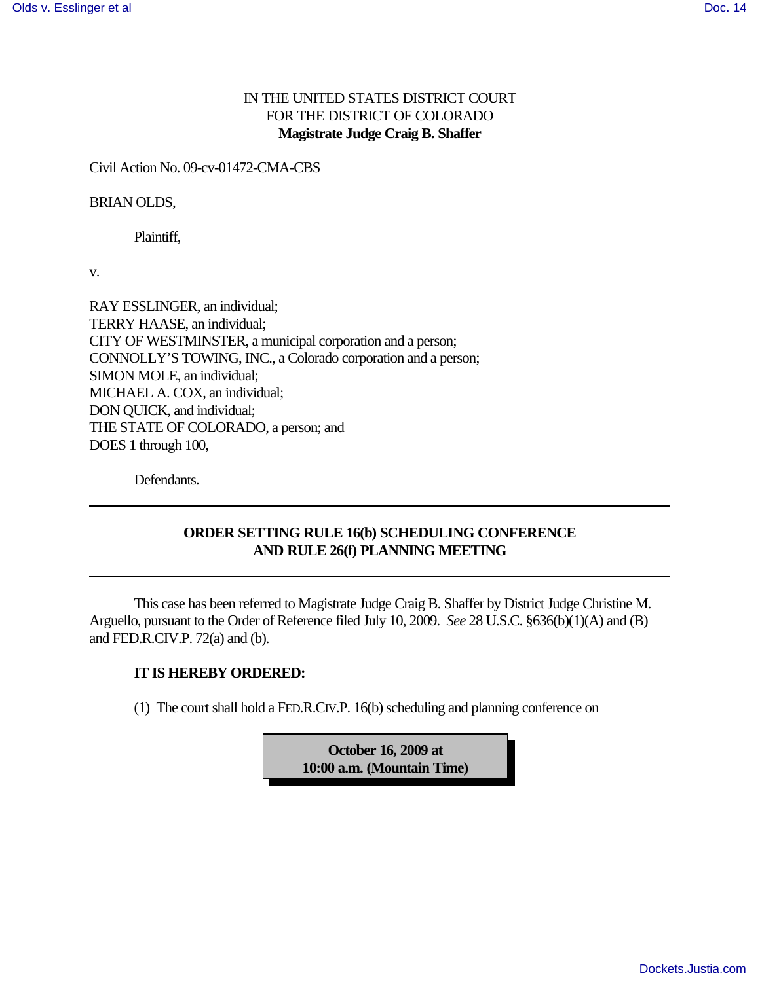# IN THE UNITED STATES DISTRICT COURT FOR THE DISTRICT OF COLORADO **Magistrate Judge Craig B. Shaffer**

Civil Action No. 09-cv-01472-CMA-CBS

#### BRIAN OLDS,

Plaintiff,

v.

RAY ESSLINGER, an individual; TERRY HAASE, an individual; CITY OF WESTMINSTER, a municipal corporation and a person; CONNOLLY'S TOWING, INC., a Colorado corporation and a person; SIMON MOLE, an individual; MICHAEL A. COX, an individual; DON QUICK, and individual; THE STATE OF COLORADO, a person; and DOES 1 through 100,

Defendants.

## **ORDER SETTING RULE 16(b) SCHEDULING CONFERENCE AND RULE 26(f) PLANNING MEETING**

This case has been referred to Magistrate Judge Craig B. Shaffer by District Judge Christine M. Arguello, pursuant to the Order of Reference filed July 10, 2009. *See* 28 U.S.C. §636(b)(1)(A) and (B) and FED.R.CIV.P. 72(a) and (b).

### **IT IS HEREBY ORDERED:**

(1) The court shall hold a FED.R.CIV.P. 16(b) scheduling and planning conference on

**October 16, 2009 at 10:00 a.m. (Mountain Time)**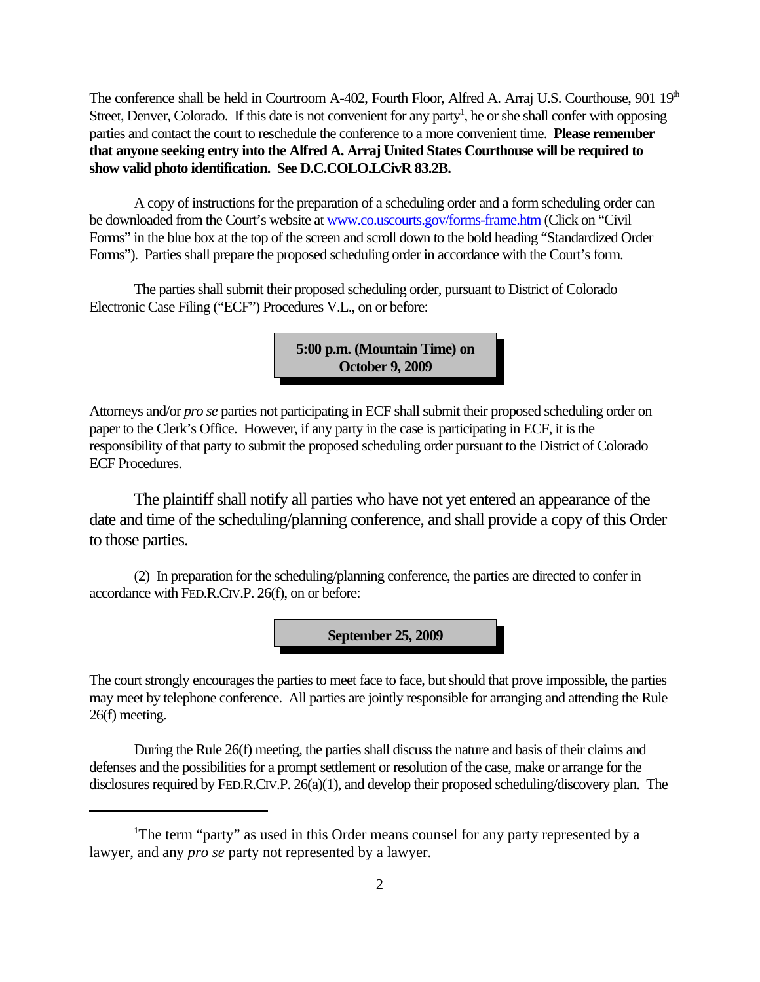The conference shall be held in Courtroom A-402, Fourth Floor, Alfred A. Arraj U.S. Courthouse,  $901\,19<sup>th</sup>$ Street, Denver, Colorado. If this date is not convenient for any party<sup>1</sup>, he or she shall confer with opposing parties and contact the court to reschedule the conference to a more convenient time. **Please remember that anyone seeking entry into the Alfred A. Arraj United States Courthouse will be required to show valid photo identification. See D.C.COLO.LCivR 83.2B.**

A copy of instructions for the preparation of a scheduling order and a form scheduling order can be downloaded from the Court's website at www.co.uscourts.gov/forms-frame.htm (Click on "Civil Forms" in the blue box at the top of the screen and scroll down to the bold heading "Standardized Order Forms"). Parties shall prepare the proposed scheduling order in accordance with the Court's form.

The parties shall submit their proposed scheduling order, pursuant to District of Colorado Electronic Case Filing ("ECF") Procedures V.L., on or before:

> **5:00 p.m. (Mountain Time) on October 9, 2009**

Attorneys and/or *pro se* parties not participating in ECF shall submit their proposed scheduling order on paper to the Clerk's Office. However, if any party in the case is participating in ECF, it is the responsibility of that party to submit the proposed scheduling order pursuant to the District of Colorado ECF Procedures.

The plaintiff shall notify all parties who have not yet entered an appearance of the date and time of the scheduling/planning conference, and shall provide a copy of this Order to those parties.

(2) In preparation for the scheduling/planning conference, the parties are directed to confer in accordance with FED.R.CIV.P. 26(f), on or before:

**September 25, 2009**

The court strongly encourages the parties to meet face to face, but should that prove impossible, the parties may meet by telephone conference. All parties are jointly responsible for arranging and attending the Rule 26(f) meeting.

During the Rule 26(f) meeting, the parties shall discuss the nature and basis of their claims and defenses and the possibilities for a prompt settlement or resolution of the case, make or arrange for the disclosures required by FED.R.CIV.P. 26(a)(1), and develop their proposed scheduling/discovery plan. The

<sup>&</sup>lt;sup>1</sup>The term "party" as used in this Order means counsel for any party represented by a lawyer, and any *pro se* party not represented by a lawyer.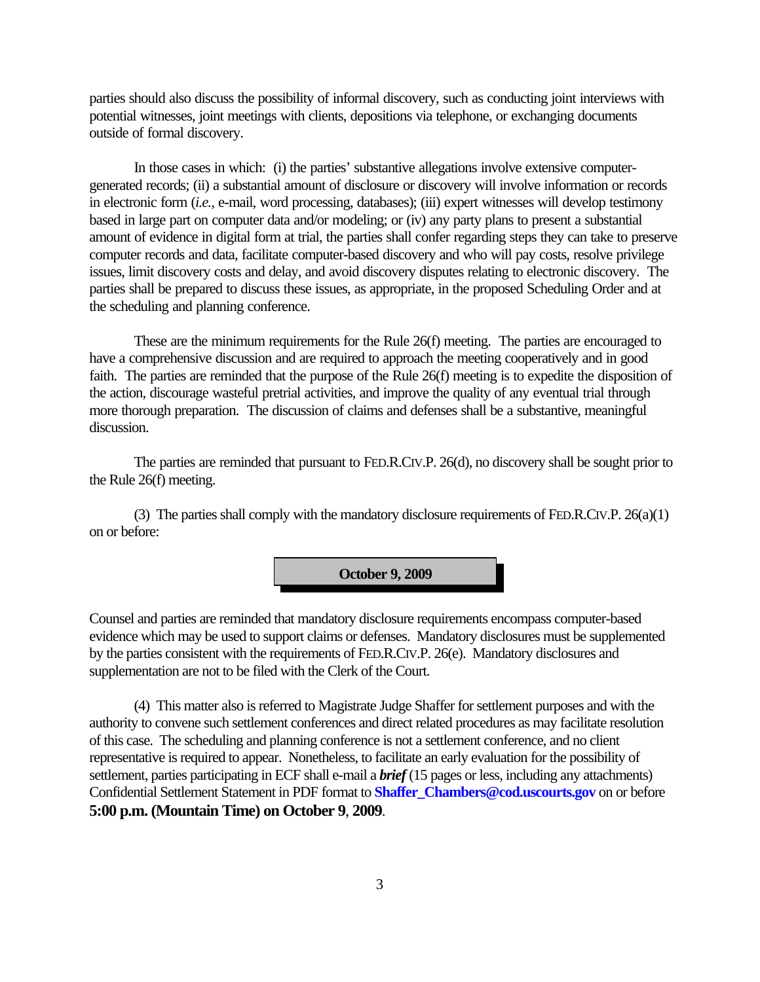parties should also discuss the possibility of informal discovery, such as conducting joint interviews with potential witnesses, joint meetings with clients, depositions via telephone, or exchanging documents outside of formal discovery.

In those cases in which: (i) the parties' substantive allegations involve extensive computergenerated records; (ii) a substantial amount of disclosure or discovery will involve information or records in electronic form (*i.e.,* e-mail, word processing, databases); (iii) expert witnesses will develop testimony based in large part on computer data and/or modeling; or (iv) any party plans to present a substantial amount of evidence in digital form at trial, the parties shall confer regarding steps they can take to preserve computer records and data, facilitate computer-based discovery and who will pay costs, resolve privilege issues, limit discovery costs and delay, and avoid discovery disputes relating to electronic discovery. The parties shall be prepared to discuss these issues, as appropriate, in the proposed Scheduling Order and at the scheduling and planning conference.

These are the minimum requirements for the Rule 26(f) meeting. The parties are encouraged to have a comprehensive discussion and are required to approach the meeting cooperatively and in good faith. The parties are reminded that the purpose of the Rule 26(f) meeting is to expedite the disposition of the action, discourage wasteful pretrial activities, and improve the quality of any eventual trial through more thorough preparation. The discussion of claims and defenses shall be a substantive, meaningful discussion.

The parties are reminded that pursuant to FED.R.CIV.P. 26(d), no discovery shall be sought prior to the Rule 26(f) meeting.

(3) The parties shall comply with the mandatory disclosure requirements of FED.R.CIV.P. 26(a)(1) on or before:

**October 9, 2009**

Counsel and parties are reminded that mandatory disclosure requirements encompass computer-based evidence which may be used to support claims or defenses. Mandatory disclosures must be supplemented by the parties consistent with the requirements of FED.R.CIV.P. 26(e). Mandatory disclosures and supplementation are not to be filed with the Clerk of the Court.

(4) This matter also is referred to Magistrate Judge Shaffer for settlement purposes and with the authority to convene such settlement conferences and direct related procedures as may facilitate resolution of this case. The scheduling and planning conference is not a settlement conference, and no client representative is required to appear. Nonetheless, to facilitate an early evaluation for the possibility of settlement, parties participating in ECF shall e-mail a *brief* (15 pages or less, including any attachments) Confidential Settlement Statement in PDF format to **Shaffer\_Chambers@cod.uscourts.gov** on or before **5:00 p.m. (Mountain Time) on October 9**, **2009**.